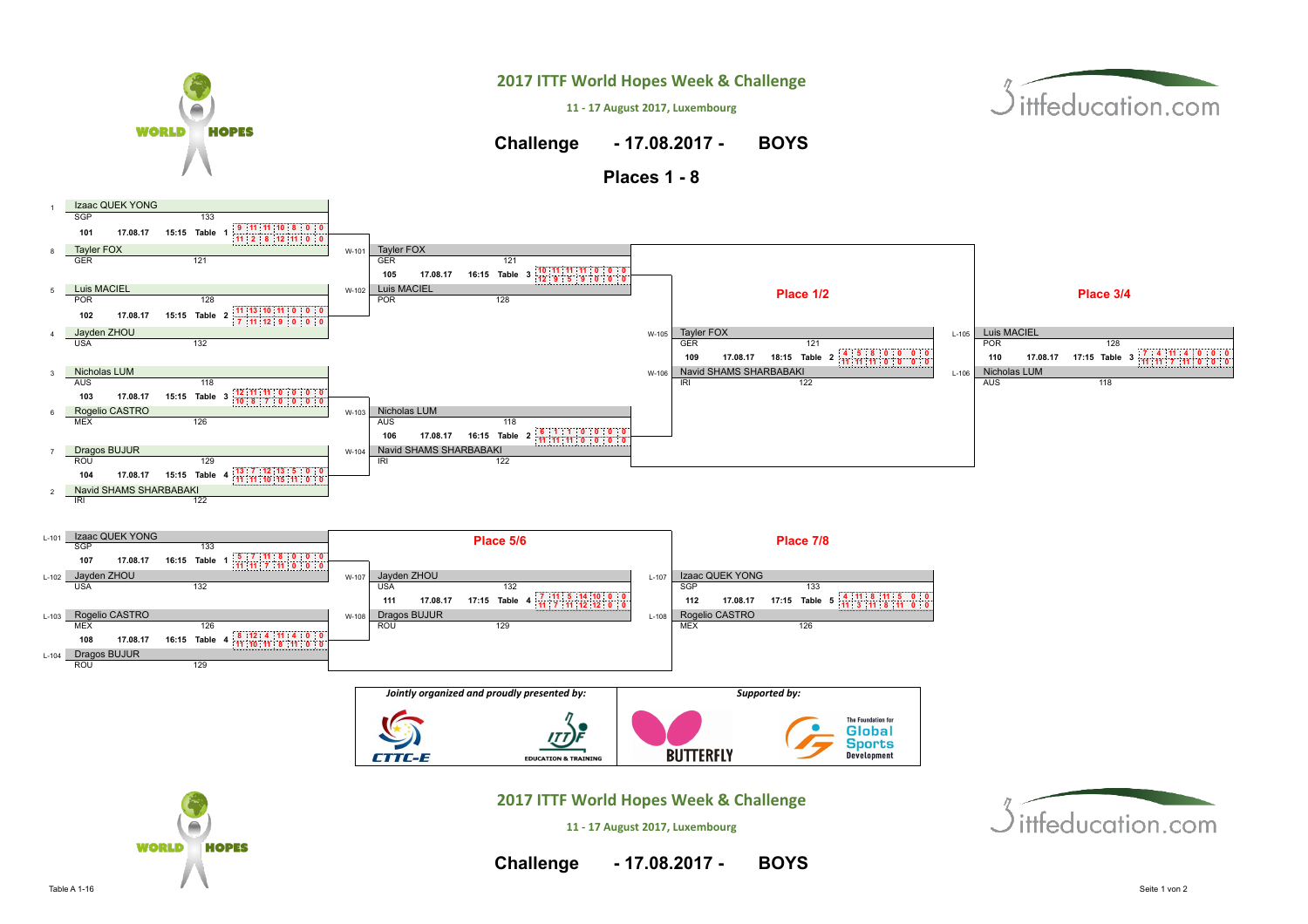

Table A 1-16 Seite 1 von 2